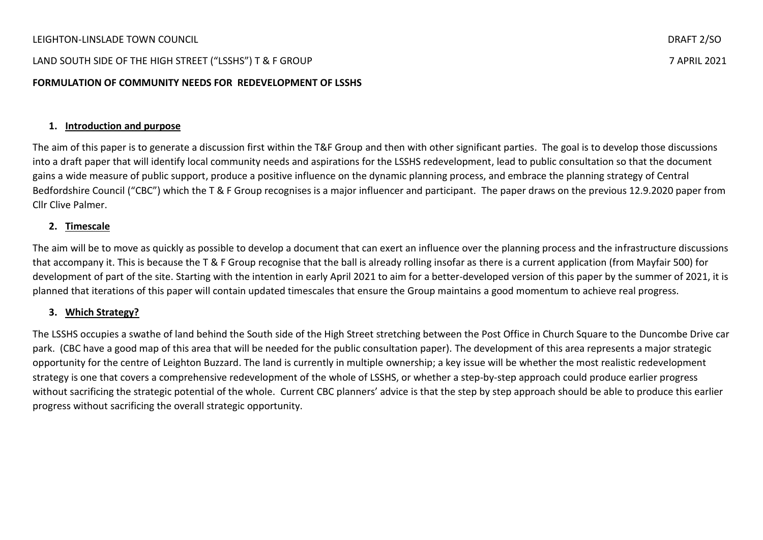# LAND SOUTH SIDE OF THE HIGH STREET ("LSSHS") T & F GROUP 7 APRIL 2021

## **FORMULATION OF COMMUNITY NEEDS FOR REDEVELOPMENT OF LSSHS**

## **1. Introduction and purpose**

The aim of this paper is to generate a discussion first within the T&F Group and then with other significant parties. The goal is to develop those discussions into a draft paper that will identify local community needs and aspirations for the LSSHS redevelopment, lead to public consultation so that the document gains a wide measure of public support, produce a positive influence on the dynamic planning process, and embrace the planning strategy of Central Bedfordshire Council ("CBC") which the T & F Group recognises is a major influencer and participant. The paper draws on the previous 12.9.2020 paper from Cllr Clive Palmer.

#### **2. Timescale**

The aim will be to move as quickly as possible to develop a document that can exert an influence over the planning process and the infrastructure discussions that accompany it. This is because the T & F Group recognise that the ball is already rolling insofar as there is a current application (from Mayfair 500) for development of part of the site. Starting with the intention in early April 2021 to aim for a better-developed version of this paper by the summer of 2021, it is planned that iterations of this paper will contain updated timescales that ensure the Group maintains a good momentum to achieve real progress.

#### **3. Which Strategy?**

The LSSHS occupies a swathe of land behind the South side of the High Street stretching between the Post Office in Church Square to the Duncombe Drive car park. (CBC have a good map of this area that will be needed for the public consultation paper). The development of this area represents a major strategic opportunity for the centre of Leighton Buzzard. The land is currently in multiple ownership; a key issue will be whether the most realistic redevelopment strategy is one that covers a comprehensive redevelopment of the whole of LSSHS, or whether a step-by-step approach could produce earlier progress without sacrificing the strategic potential of the whole. Current CBC planners' advice is that the step by step approach should be able to produce this earlier progress without sacrificing the overall strategic opportunity.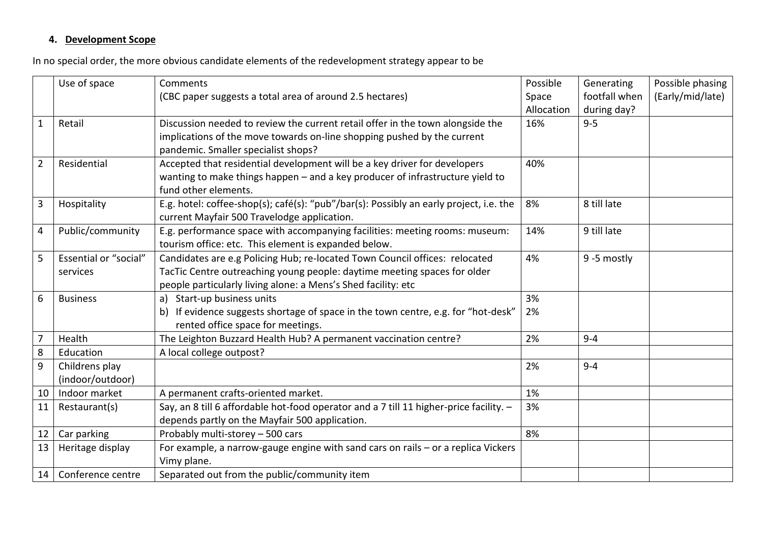# **4. Development Scope**

In no special order, the more obvious candidate elements of the redevelopment strategy appear to be

|                  | Use of space                 | Comments<br>(CBC paper suggests a total area of around 2.5 hectares)                                                   | Possible<br>Space | Generating<br>footfall when | Possible phasing<br>(Early/mid/late) |
|------------------|------------------------------|------------------------------------------------------------------------------------------------------------------------|-------------------|-----------------------------|--------------------------------------|
|                  |                              |                                                                                                                        | Allocation        | during day?                 |                                      |
| $\mathbf{1}$     | Retail                       | Discussion needed to review the current retail offer in the town alongside the                                         | 16%               | $9 - 5$                     |                                      |
|                  |                              | implications of the move towards on-line shopping pushed by the current                                                |                   |                             |                                      |
|                  |                              | pandemic. Smaller specialist shops?                                                                                    |                   |                             |                                      |
| $\overline{2}$   | Residential                  | Accepted that residential development will be a key driver for developers                                              | 40%               |                             |                                      |
|                  |                              | wanting to make things happen - and a key producer of infrastructure yield to                                          |                   |                             |                                      |
|                  |                              | fund other elements.                                                                                                   |                   |                             |                                      |
| 3                | Hospitality                  | E.g. hotel: coffee-shop(s); café(s): "pub"/bar(s): Possibly an early project, i.e. the                                 | 8%                | 8 till late                 |                                      |
|                  |                              | current Mayfair 500 Travelodge application.                                                                            |                   |                             |                                      |
| 4                | Public/community             | E.g. performance space with accompanying facilities: meeting rooms: museum:                                            | 14%               | 9 till late                 |                                      |
|                  |                              | tourism office: etc. This element is expanded below.                                                                   |                   |                             |                                      |
| 5                | <b>Essential or "social"</b> | Candidates are e.g Policing Hub; re-located Town Council offices: relocated                                            | 4%                | 9-5 mostly                  |                                      |
|                  | services                     | TacTic Centre outreaching young people: daytime meeting spaces for older                                               |                   |                             |                                      |
|                  |                              | people particularly living alone: a Mens's Shed facility: etc                                                          |                   |                             |                                      |
| 6                | <b>Business</b>              | a) Start-up business units                                                                                             | 3%                |                             |                                      |
|                  |                              | b) If evidence suggests shortage of space in the town centre, e.g. for "hot-desk"<br>rented office space for meetings. | 2%                |                             |                                      |
| $\overline{7}$   | Health                       | The Leighton Buzzard Health Hub? A permanent vaccination centre?                                                       | 2%                | $9 - 4$                     |                                      |
| 8                | Education                    | A local college outpost?                                                                                               |                   |                             |                                      |
| $\boldsymbol{9}$ | Childrens play               |                                                                                                                        | 2%                | $9 - 4$                     |                                      |
|                  | (indoor/outdoor)             |                                                                                                                        |                   |                             |                                      |
| 10               | Indoor market                | A permanent crafts-oriented market.                                                                                    | 1%                |                             |                                      |
| 11               | Restaurant(s)                | Say, an 8 till 6 affordable hot-food operator and a 7 till 11 higher-price facility. -                                 | 3%                |                             |                                      |
|                  |                              | depends partly on the Mayfair 500 application.                                                                         |                   |                             |                                      |
| 12               | Car parking                  | Probably multi-storey - 500 cars                                                                                       | 8%                |                             |                                      |
| 13               | Heritage display             | For example, a narrow-gauge engine with sand cars on rails - or a replica Vickers<br>Vimy plane.                       |                   |                             |                                      |
| 14               | Conference centre            | Separated out from the public/community item                                                                           |                   |                             |                                      |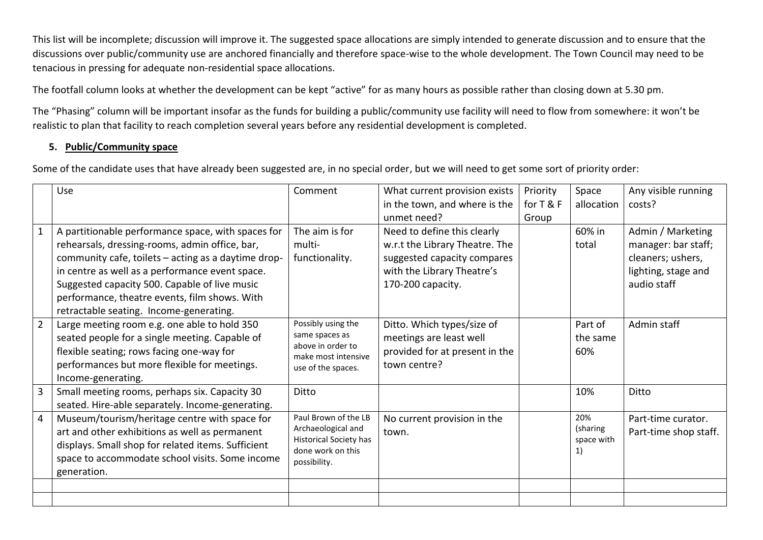This list will be incomplete; discussion will improve it. The suggested space allocations are simply intended to generate discussion and to ensure that the discussions over public/community use are anchored financially and therefore space-wise to the whole development. The Town Council may need to be tenacious in pressing for adequate non-residential space allocations.

The footfall column looks at whether the development can be kept "active" for as many hours as possible rather than closing down at 5.30 pm.

The "Phasing" column will be important insofar as the funds for building a public/community use facility will need to flow from somewhere: it won't be realistic to plan that facility to reach completion several years before any residential development is completed.

#### **5. Public/Community space**

Some of the candidate uses that have already been suggested are, in no special order, but we will need to get some sort of priority order:

|                | Use                                                 | Comment                                            | What current provision exists  | Priority  | Space            | Any visible running   |
|----------------|-----------------------------------------------------|----------------------------------------------------|--------------------------------|-----------|------------------|-----------------------|
|                |                                                     |                                                    | in the town, and where is the  | for T & F | allocation       | costs?                |
|                |                                                     |                                                    | unmet need?                    | Group     |                  |                       |
|                | A partitionable performance space, with spaces for  | The aim is for                                     | Need to define this clearly    |           | 60% in           | Admin / Marketing     |
|                | rehearsals, dressing-rooms, admin office, bar,      | multi-                                             | w.r.t the Library Theatre. The |           | total            | manager: bar staff;   |
|                | community cafe, toilets - acting as a daytime drop- | functionality.                                     | suggested capacity compares    |           |                  | cleaners; ushers,     |
|                | in centre as well as a performance event space.     |                                                    | with the Library Theatre's     |           |                  | lighting, stage and   |
|                | Suggested capacity 500. Capable of live music       |                                                    | 170-200 capacity.              |           |                  | audio staff           |
|                | performance, theatre events, film shows. With       |                                                    |                                |           |                  |                       |
|                | retractable seating. Income-generating.             |                                                    |                                |           |                  |                       |
| $\overline{2}$ | Large meeting room e.g. one able to hold 350        | Possibly using the                                 | Ditto. Which types/size of     |           | Part of          | Admin staff           |
|                | seated people for a single meeting. Capable of      | same spaces as                                     | meetings are least well        |           | the same         |                       |
|                | flexible seating; rows facing one-way for           | above in order to<br>make most intensive           | provided for at present in the |           | 60%              |                       |
|                | performances but more flexible for meetings.        | use of the spaces.                                 | town centre?                   |           |                  |                       |
|                | Income-generating.                                  |                                                    |                                |           |                  |                       |
| 3              | Small meeting rooms, perhaps six. Capacity 30       | Ditto                                              |                                |           | 10%              | Ditto                 |
|                | seated. Hire-able separately. Income-generating.    |                                                    |                                |           |                  |                       |
| $\overline{4}$ | Museum/tourism/heritage centre with space for       | Paul Brown of the LB                               | No current provision in the    |           | 20%              | Part-time curator.    |
|                | art and other exhibitions as well as permanent      | Archaeological and                                 | town.                          |           | (sharing         | Part-time shop staff. |
|                | displays. Small shop for related items. Sufficient  | <b>Historical Society has</b><br>done work on this |                                |           | space with<br>1) |                       |
|                | space to accommodate school visits. Some income     | possibility.                                       |                                |           |                  |                       |
|                | generation.                                         |                                                    |                                |           |                  |                       |
|                |                                                     |                                                    |                                |           |                  |                       |
|                |                                                     |                                                    |                                |           |                  |                       |